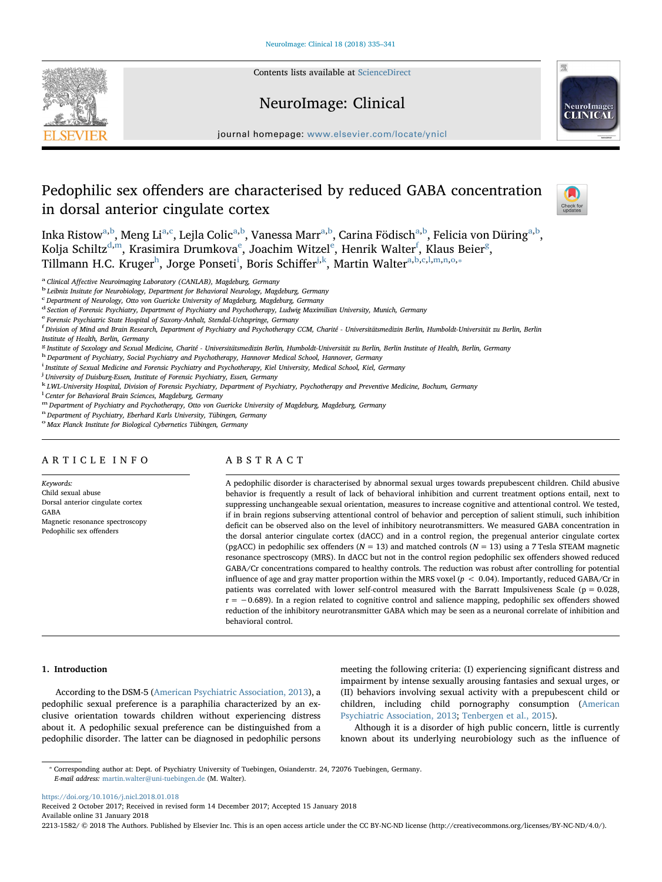Contents lists available at [ScienceDirect](http://www.sciencedirect.com/science/journal/22131582)





journal homepage: [www.elsevier.com/locate/ynicl](https://www.elsevier.com/locate/ynicl)

# Pedophilic sex offenders are characterised by reduced GABA concentration in dorsal anterior cingulate cortex



Ink[a](#page-0-0) Ristow<sup>a,[b](#page-0-1)</sup>, Meng Li<sup>a[,c](#page-0-2)</sup>, Lejla Colic<sup>a[,b](#page-0-1)</sup>, Vanessa Marr<sup>[a,](#page-0-0)b</sup>, Carina Födisch<sup>a,b</sup>, Felicia von Düring<sup>a,b</sup>, Kolja Schiltz $^{\rm d,m}$  $^{\rm d,m}$  $^{\rm d,m}$ , Krasimira Drumkova $^{\rm e}$  $^{\rm e}$  $^{\rm e}$ , Joachim Witzel $^{\rm e}$ , Henrik Walter $^{\rm f}$  $^{\rm f}$  $^{\rm f}$ , Klaus Beier $^{\rm g}$  $^{\rm g}$  $^{\rm g}$ , Tillmann H.C. Kruger<sup>[h](#page-0-8)</sup>, Jorge Ponset[i](#page-0-9)<sup>i</sup>, Boris Schiffer<sup>j,[k](#page-0-11)</sup>, Martin Walter<sup>[a,](#page-0-0)[b](#page-0-1),[c](#page-0-2)[,l,](#page-0-12)[m,](#page-0-4)[n](#page-0-13),[o,](#page-0-14)\*</sup>

<span id="page-0-1"></span>

<span id="page-0-0"></span><sup>a</sup> Clinical Affective Neuroimaging Laboratory (CANLAB), Magdeburg, Germany<br><sup>b</sup> Leibniz Insitute for Neurobiology, Department for Behavioral Neurology, Magdeburg, Germany

<span id="page-0-2"></span>c Department of Neurology, Otto von Guericke University of Magdeburg, Magdeburg, Germany

<span id="page-0-3"></span><sup>d</sup> Section of Forensic Psychiatry, Department of Psychiatry and Psychotherapy, Ludwig Maximilian University, Munich, Germany

<span id="page-0-5"></span><sup>e</sup> Forensic Psychiatric State Hospital of Saxony-Anhalt, Stendal-Uchtspringe, Germany

<span id="page-0-6"></span><u>.</u><br>F Division of Mind and Brain Research, Department of Psychother and Psychotherapy CCM, Charité - Universitätsmedizin Berlin, Humboldt-Universität zu Berlin, Berlin Institute of Health, Berlin, Germany

<span id="page-0-7"></span><sup>g</sup> Institute of Sexology and Sexual Medicine, Charité - Universitätsmedizin Berlin, Humboldt-Universität zu Berlin, Berlin Institute of Health, Berlin, Germany

<span id="page-0-8"></span>h Department of Psychiatry, Social Psychiatry and Psychotherapy, Hannover Medical School, Hannover, Germany

<span id="page-0-9"></span><sup>i</sup> Institute of Sexual Medicine and Forensic Psychiatry and Psychotherapy, Kiel University, Medical School, Kiel, Germany

<span id="page-0-10"></span><sup>j</sup> University of Duisburg-Essen, Institute of Forensic Psychiatry, Essen, Germany

<span id="page-0-11"></span><sup>k</sup> LWL-University Hospital, Division of Forensic Psychiatry, Department of Psychiatry, Psychotherapy and Preventive Medicine, Bochum, Germany

<span id="page-0-12"></span><sup>1</sup> Center for Behavioral Brain Sciences, Magdeburg, Germany

<span id="page-0-4"></span>m Department of Psychiatry and Psychotherapy, Otto von Guericke University of Magdeburg, Magdeburg, Germany n<br>Pepartment of Psychiatry, Eberhard Karls University, Tübingen, Germany

<span id="page-0-13"></span>

<span id="page-0-14"></span><sup>o</sup> Max Planck Institute for Biological Cybernetics Tübingen, Germany

# ARTICLE INFO

Keywords: Child sexual abuse Dorsal anterior cingulate cortex GABA Magnetic resonance spectroscopy Pedophilic sex offenders

# ABSTRACT

A pedophilic disorder is characterised by abnormal sexual urges towards prepubescent children. Child abusive behavior is frequently a result of lack of behavioral inhibition and current treatment options entail, next to suppressing unchangeable sexual orientation, measures to increase cognitive and attentional control. We tested, if in brain regions subserving attentional control of behavior and perception of salient stimuli, such inhibition deficit can be observed also on the level of inhibitory neurotransmitters. We measured GABA concentration in the dorsal anterior cingulate cortex (dACC) and in a control region, the pregenual anterior cingulate cortex (pgACC) in pedophilic sex offenders ( $N = 13$ ) and matched controls ( $N = 13$ ) using a 7 Tesla STEAM magnetic resonance spectroscopy (MRS). In dACC but not in the control region pedophilic sex offenders showed reduced GABA/Cr concentrations compared to healthy controls. The reduction was robust after controlling for potential influence of age and gray matter proportion within the MRS voxel ( $p < 0.04$ ). Importantly, reduced GABA/Cr in patients was correlated with lower self-control measured with the Barratt Impulsiveness Scale ( $p = 0.028$ ,  $r = -0.689$ ). In a region related to cognitive control and salience mapping, pedophilic sex offenders showed reduction of the inhibitory neurotransmitter GABA which may be seen as a neuronal correlate of inhibition and behavioral control.

#### 1. Introduction

According to the DSM-5 ([American Psychiatric Association, 2013](#page-5-0)), a pedophilic sexual preference is a paraphilia characterized by an exclusive orientation towards children without experiencing distress about it. A pedophilic sexual preference can be distinguished from a pedophilic disorder. The latter can be diagnosed in pedophilic persons

meeting the following criteria: (I) experiencing significant distress and impairment by intense sexually arousing fantasies and sexual urges, or (II) behaviors involving sexual activity with a prepubescent child or children, including child pornography consumption ([American](#page-5-0) [Psychiatric Association, 2013](#page-5-0); [Tenbergen et al., 2015\)](#page-6-0).

Although it is a disorder of high public concern, little is currently known about its underlying neurobiology such as the influence of

<https://doi.org/10.1016/j.nicl.2018.01.018>

Received 2 October 2017; Received in revised form 14 December 2017; Accepted 15 January 2018 Available online 31 January 2018

2213-1582/ © 2018 The Authors. Published by Elsevier Inc. This is an open access article under the CC BY-NC-ND license (http://creativecommons.org/licenses/BY-NC-ND/4.0/).

<span id="page-0-15"></span><sup>⁎</sup> Corresponding author at: Dept. of Psychiatry University of Tuebingen, Osianderstr. 24, 72076 Tuebingen, Germany. E-mail address: [martin.walter@uni-tuebingen.de](mailto:martin.walter@uni-tuebingen.de) (M. Walter).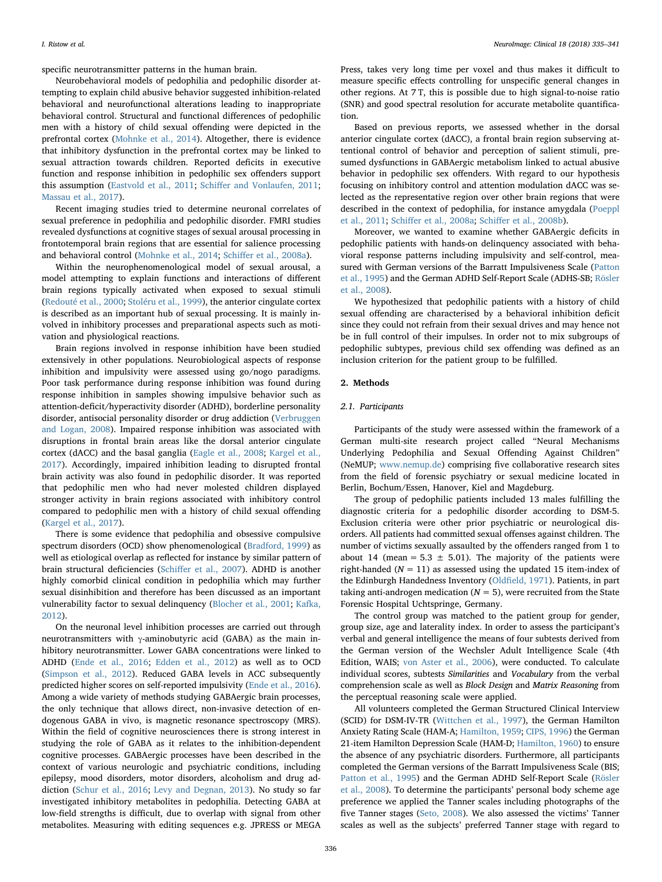specific neurotransmitter patterns in the human brain.

Neurobehavioral models of pedophilia and pedophilic disorder attempting to explain child abusive behavior suggested inhibition-related behavioral and neurofunctional alterations leading to inappropriate behavioral control. Structural and functional differences of pedophilic men with a history of child sexual offending were depicted in the prefrontal cortex ([Mohnke et al., 2014\)](#page-6-1). Altogether, there is evidence that inhibitory dysfunction in the prefrontal cortex may be linked to sexual attraction towards children. Reported deficits in executive function and response inhibition in pedophilic sex offenders support this assumption ([Eastvold et al., 2011](#page-6-2); Schiff[er and Vonlaufen, 2011](#page-6-3); [Massau et al., 2017\)](#page-6-4).

Recent imaging studies tried to determine neuronal correlates of sexual preference in pedophilia and pedophilic disorder. FMRI studies revealed dysfunctions at cognitive stages of sexual arousal processing in frontotemporal brain regions that are essential for salience processing and behavioral control [\(Mohnke et al., 2014](#page-6-1); Schiff[er et al., 2008a\)](#page-6-5).

Within the neurophenomenological model of sexual arousal, a model attempting to explain functions and interactions of different brain regions typically activated when exposed to sexual stimuli ([Redouté et al., 2000](#page-6-6); [Stoléru et al., 1999\)](#page-6-7), the anterior cingulate cortex is described as an important hub of sexual processing. It is mainly involved in inhibitory processes and preparational aspects such as motivation and physiological reactions.

Brain regions involved in response inhibition have been studied extensively in other populations. Neurobiological aspects of response inhibition and impulsivity were assessed using go/nogo paradigms. Poor task performance during response inhibition was found during response inhibition in samples showing impulsive behavior such as attention-deficit/hyperactivity disorder (ADHD), borderline personality disorder, antisocial personality disorder or drug addiction [\(Verbruggen](#page-6-8) [and Logan, 2008](#page-6-8)). Impaired response inhibition was associated with disruptions in frontal brain areas like the dorsal anterior cingulate cortex (dACC) and the basal ganglia [\(Eagle et al., 2008](#page-6-9); [Kargel et al.,](#page-6-10) [2017\)](#page-6-10). Accordingly, impaired inhibition leading to disrupted frontal brain activity was also found in pedophilic disorder. It was reported that pedophilic men who had never molested children displayed stronger activity in brain regions associated with inhibitory control compared to pedophilic men with a history of child sexual offending ([Kargel et al., 2017\)](#page-6-10).

There is some evidence that pedophilia and obsessive compulsive spectrum disorders (OCD) show phenomenological ([Bradford, 1999](#page-5-1)) as well as etiological overlap as reflected for instance by similar pattern of brain structural deficiencies (Schiff[er et al., 2007\)](#page-6-11). ADHD is another highly comorbid clinical condition in pedophilia which may further sexual disinhibition and therefore has been discussed as an important vulnerability factor to sexual delinquency ([Blocher et al., 2001;](#page-5-2) [Kafka,](#page-6-12) [2012\)](#page-6-12).

On the neuronal level inhibition processes are carried out through neurotransmitters with γ-aminobutyric acid (GABA) as the main inhibitory neurotransmitter. Lower GABA concentrations were linked to ADHD [\(Ende et al., 2016;](#page-6-13) [Edden et al., 2012\)](#page-6-14) as well as to OCD ([Simpson et al., 2012\)](#page-6-15). Reduced GABA levels in ACC subsequently predicted higher scores on self-reported impulsivity [\(Ende et al., 2016](#page-6-13)). Among a wide variety of methods studying GABAergic brain processes, the only technique that allows direct, non-invasive detection of endogenous GABA in vivo, is magnetic resonance spectroscopy (MRS). Within the field of cognitive neurosciences there is strong interest in studying the role of GABA as it relates to the inhibition-dependent cognitive processes. GABAergic processes have been described in the context of various neurologic and psychiatric conditions, including epilepsy, mood disorders, motor disorders, alcoholism and drug addiction [\(Schur et al., 2016](#page-6-16); [Levy and Degnan, 2013](#page-6-17)). No study so far investigated inhibitory metabolites in pedophilia. Detecting GABA at low-field strengths is difficult, due to overlap with signal from other metabolites. Measuring with editing sequences e.g. JPRESS or MEGA

Press, takes very long time per voxel and thus makes it difficult to measure specific effects controlling for unspecific general changes in other regions. At 7 T, this is possible due to high signal-to-noise ratio (SNR) and good spectral resolution for accurate metabolite quantification.

Based on previous reports, we assessed whether in the dorsal anterior cingulate cortex (dACC), a frontal brain region subserving attentional control of behavior and perception of salient stimuli, presumed dysfunctions in GABAergic metabolism linked to actual abusive behavior in pedophilic sex offenders. With regard to our hypothesis focusing on inhibitory control and attention modulation dACC was selected as the representative region over other brain regions that were described in the context of pedophilia, for instance amygdala ([Poeppl](#page-6-18) [et al., 2011](#page-6-18); Schiff[er et al., 2008a;](#page-6-5) Schiff[er et al., 2008b\)](#page-6-19).

Moreover, we wanted to examine whether GABAergic deficits in pedophilic patients with hands-on delinquency associated with behavioral response patterns including impulsivity and self-control, measured with German versions of the Barratt Impulsiveness Scale ([Patton](#page-6-20) [et al., 1995](#page-6-20)) and the German ADHD Self-Report Scale (ADHS-SB; [Rösler](#page-6-21) [et al., 2008](#page-6-21)).

We hypothesized that pedophilic patients with a history of child sexual offending are characterised by a behavioral inhibition deficit since they could not refrain from their sexual drives and may hence not be in full control of their impulses. In order not to mix subgroups of pedophilic subtypes, previous child sex offending was defined as an inclusion criterion for the patient group to be fulfilled.

## 2. Methods

### 2.1. Participants

Participants of the study were assessed within the framework of a German multi-site research project called "Neural Mechanisms Underlying Pedophilia and Sexual Offending Against Children" (NeMUP; [www.nemup.de](http://www.nemup.de)) comprising five collaborative research sites from the field of forensic psychiatry or sexual medicine located in Berlin, Bochum/Essen, Hanover, Kiel and Magdeburg.

The group of pedophilic patients included 13 males fulfilling the diagnostic criteria for a pedophilic disorder according to DSM-5. Exclusion criteria were other prior psychiatric or neurological disorders. All patients had committed sexual offenses against children. The number of victims sexually assaulted by the offenders ranged from 1 to about 14 (mean =  $5.3 \pm 5.01$ ). The majority of the patients were right-handed ( $N = 11$ ) as assessed using the updated 15 item-index of the Edinburgh Handedness Inventory (Oldfi[eld, 1971](#page-6-22)). Patients, in part taking anti-androgen medication ( $N = 5$ ), were recruited from the State Forensic Hospital Uchtspringe, Germany.

The control group was matched to the patient group for gender, group size, age and laterality index. In order to assess the participant's verbal and general intelligence the means of four subtests derived from the German version of the Wechsler Adult Intelligence Scale (4th Edition, WAIS; [von Aster et al., 2006\)](#page-6-23), were conducted. To calculate individual scores, subtests Similarities and Vocabulary from the verbal comprehension scale as well as Block Design and Matrix Reasoning from the perceptual reasoning scale were applied.

All volunteers completed the German Structured Clinical Interview (SCID) for DSM-IV-TR ([Wittchen et al., 1997](#page-6-24)), the German Hamilton Anxiety Rating Scale (HAM-A; [Hamilton, 1959](#page-6-25); [CIPS, 1996\)](#page-5-3) the German 21-item Hamilton Depression Scale (HAM-D; [Hamilton, 1960](#page-6-26)) to ensure the absence of any psychiatric disorders. Furthermore, all participants completed the German versions of the Barratt Impulsiveness Scale (BIS; [Patton et al., 1995\)](#page-6-20) and the German ADHD Self-Report Scale ([Rösler](#page-6-21) [et al., 2008](#page-6-21)). To determine the participants' personal body scheme age preference we applied the Tanner scales including photographs of the five Tanner stages ([Seto, 2008](#page-6-27)). We also assessed the victims' Tanner scales as well as the subjects' preferred Tanner stage with regard to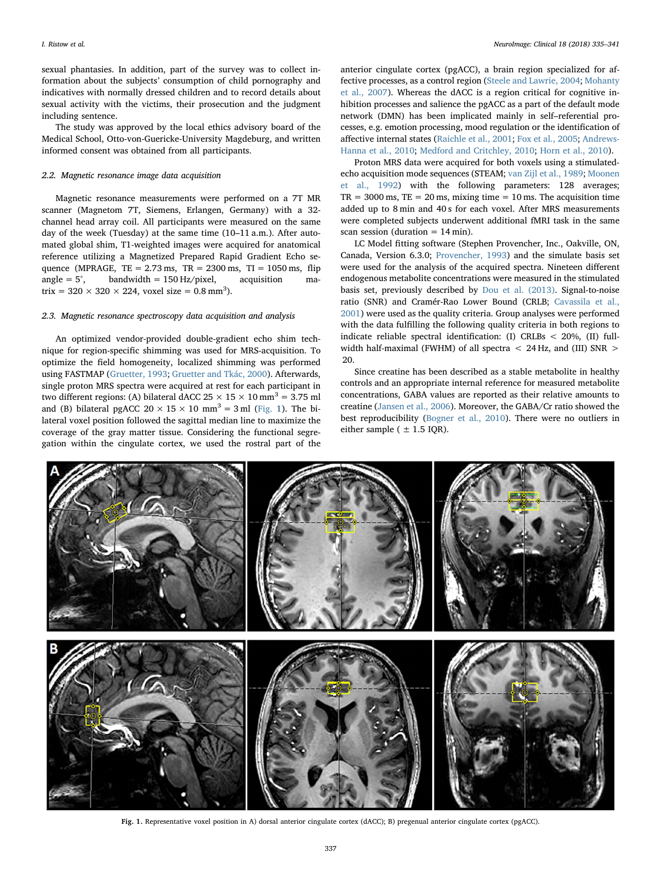sexual phantasies. In addition, part of the survey was to collect information about the subjects' consumption of child pornography and indicatives with normally dressed children and to record details about sexual activity with the victims, their prosecution and the judgment including sentence.

The study was approved by the local ethics advisory board of the Medical School, Otto-von-Guericke-University Magdeburg, and written informed consent was obtained from all participants.

#### 2.2. Magnetic resonance image data acquisition

Magnetic resonance measurements were performed on a 7T MR scanner (Magnetom 7T, Siemens, Erlangen, Germany) with a 32 channel head array coil. All participants were measured on the same day of the week (Tuesday) at the same time (10–11 a.m.). After automated global shim, T1-weighted images were acquired for anatomical reference utilizing a Magnetized Prepared Rapid Gradient Echo sequence (MPRAGE,  $TE = 2.73$  ms,  $TR = 2300$  ms,  $TI = 1050$  ms, flip angle =  $5^\circ$ , bandwidth = 150 Hz/pixel, acquisition matrix =  $320 \times 320 \times 224$ , voxel size =  $0.8 \text{ mm}^3$ ).

#### 2.3. Magnetic resonance spectroscopy data acquisition and analysis

An optimized vendor-provided double-gradient echo shim technique for region-specific shimming was used for MRS-acquisition. To optimize the field homogeneity, localized shimming was performed using FASTMAP ([Gruetter, 1993;](#page-6-28) [Gruetter and Tkác, 2000](#page-6-29)). Afterwards, single proton MRS spectra were acquired at rest for each participant in two different regions: (A) bilateral dACC  $25 \times 15 \times 10$  mm<sup>3</sup> = 3.75 ml and (B) bilateral pgACC  $20 \times 15 \times 10$  mm<sup>3</sup> = 3 ml [\(Fig.](#page-2-0) 1). The bilateral voxel position followed the sagittal median line to maximize the coverage of the gray matter tissue. Considering the functional segregation within the cingulate cortex, we used the rostral part of the

anterior cingulate cortex (pgACC), a brain region specialized for affective processes, as a control region [\(Steele and Lawrie, 2004](#page-6-30); [Mohanty](#page-6-31) [et al., 2007\)](#page-6-31). Whereas the dACC is a region critical for cognitive inhibition processes and salience the pgACC as a part of the default mode network (DMN) has been implicated mainly in self–referential processes, e.g. emotion processing, mood regulation or the identification of affective internal states [\(Raichle et al., 2001](#page-6-32); [Fox et al., 2005;](#page-6-33) [Andrews-](#page-5-4)[Hanna et al., 2010](#page-5-4); [Medford and Critchley, 2010](#page-6-34); [Horn et al., 2010](#page-6-35)).

Proton MRS data were acquired for both voxels using a stimulatedecho acquisition mode sequences (STEAM; [van Zijl et al., 1989;](#page-6-36) [Moonen](#page-6-37) [et al., 1992](#page-6-37)) with the following parameters: 128 averages;  $TR = 3000$  ms,  $TE = 20$  ms, mixing time  $= 10$  ms. The acquisition time added up to 8 min and 40 s for each voxel. After MRS measurements were completed subjects underwent additional fMRI task in the same scan session (duration  $= 14$  min).

LC Model fitting software (Stephen Provencher, Inc., Oakville, ON, Canada, Version 6.3.0; [Provencher, 1993](#page-6-38)) and the simulate basis set were used for the analysis of the acquired spectra. Nineteen different endogenous metabolite concentrations were measured in the stimulated basis set, previously described by [Dou et al. \(2013\)](#page-6-39). Signal-to-noise ratio (SNR) and Cramér-Rao Lower Bound (CRLB; [Cavassila et al.,](#page-5-5) [2001\)](#page-5-5) were used as the quality criteria. Group analyses were performed with the data fulfilling the following quality criteria in both regions to indicate reliable spectral identification: (I) CRLBs < 20%, (II) fullwidth half-maximal (FWHM) of all spectra < 24 Hz, and (III) SNR > 20.

Since creatine has been described as a stable metabolite in healthy controls and an appropriate internal reference for measured metabolite concentrations, GABA values are reported as their relative amounts to creatine ([Jansen et al., 2006](#page-6-40)). Moreover, the GABA/Cr ratio showed the best reproducibility ([Bogner et al., 2010\)](#page-5-6). There were no outliers in either sample ( $\pm$  1.5 IQR).

<span id="page-2-0"></span>

Fig. 1. Representative voxel position in A) dorsal anterior cingulate cortex (dACC); B) pregenual anterior cingulate cortex (pgACC).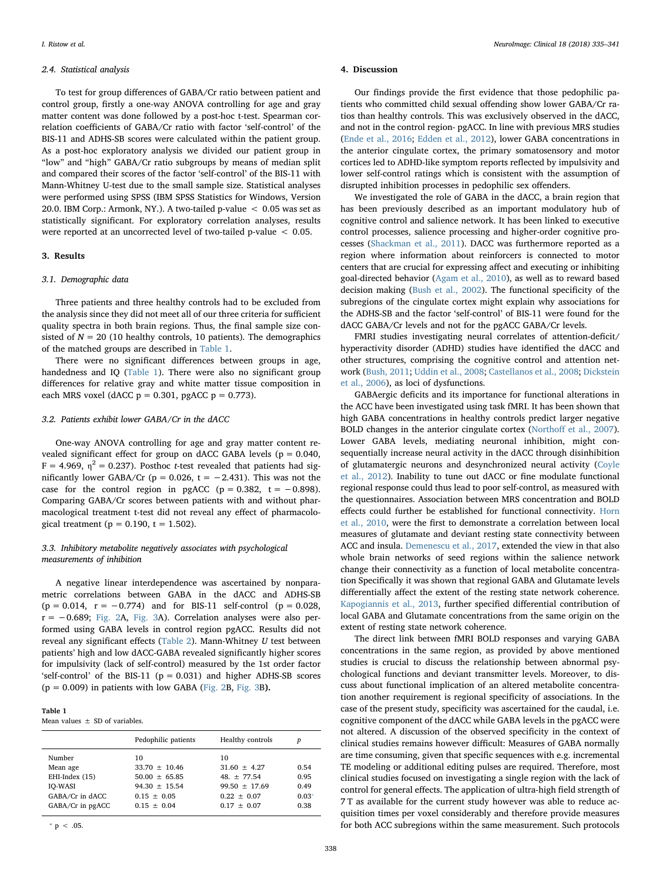#### 2.4. Statistical analysis

To test for group differences of GABA/Cr ratio between patient and control group, firstly a one-way ANOVA controlling for age and gray matter content was done followed by a post-hoc t-test. Spearman correlation coefficients of GABA/Cr ratio with factor 'self-control' of the BIS-11 and ADHS-SB scores were calculated within the patient group. As a post-hoc exploratory analysis we divided our patient group in "low" and "high" GABA/Cr ratio subgroups by means of median split and compared their scores of the factor 'self-control' of the BIS-11 with Mann-Whitney U-test due to the small sample size. Statistical analyses were performed using SPSS (IBM SPSS Statistics for Windows, Version 20.0. IBM Corp.: Armonk, NY.). A two-tailed p-value < 0.05 was set as statistically significant. For exploratory correlation analyses, results were reported at an uncorrected level of two-tailed p-value < 0.05.

#### 3. Results

## 3.1. Demographic data

Three patients and three healthy controls had to be excluded from the analysis since they did not meet all of our three criteria for sufficient quality spectra in both brain regions. Thus, the final sample size consisted of  $N = 20$  (10 healthy controls, 10 patients). The demographics of the matched groups are described in [Table 1.](#page-3-0)

There were no significant differences between groups in age, handedness and IQ ([Table 1\)](#page-3-0). There were also no significant group differences for relative gray and white matter tissue composition in each MRS voxel (dACC  $p = 0.301$ , pgACC  $p = 0.773$ ).

#### 3.2. Patients exhibit lower GABA/Cr in the dACC

One-way ANOVA controlling for age and gray matter content revealed significant effect for group on dACC GABA levels ( $p = 0.040$ ,  $F = 4.969$ ,  $\eta^2 = 0.237$ ). Posthoc *t*-test revealed that patients had significantly lower GABA/Cr ( $p = 0.026$ ,  $t = -2.431$ ). This was not the case for the control region in pgACC ( $p = 0.382$ ,  $t = -0.898$ ). Comparing GABA/Cr scores between patients with and without pharmacological treatment t-test did not reveal any effect of pharmacological treatment ( $p = 0.190$ ,  $t = 1.502$ ).

# 3.3. Inhibitory metabolite negatively associates with psychological measurements of inhibition

A negative linear interdependence was ascertained by nonparametric correlations between GABA in the dACC and ADHS-SB  $(p = 0.014, r = -0.774)$  and for BIS-11 self-control  $(p = 0.028,$  $r = -0.689$ ; [Fig. 2](#page-4-0)A, [Fig. 3](#page-4-1)A). Correlation analyses were also performed using GABA levels in control region pgACC. Results did not reveal any significant effects [\(Table 2](#page-4-2)). Mann-Whitney U test between patients' high and low dACC-GABA revealed significantly higher scores for impulsivity (lack of self-control) measured by the 1st order factor 'self-control' of the BIS-11 ( $p = 0.031$ ) and higher ADHS-SB scores  $(p = 0.009)$  in patients with low GABA [\(Fig. 2](#page-4-0)B, [Fig. 3](#page-4-1)B).

## <span id="page-3-0"></span>Table 1

Mean values  $+$  SD of variables.

|                                                                                               | Pedophilic patients<br>Healthy controls                                                       |                                                                                            | р                                       |
|-----------------------------------------------------------------------------------------------|-----------------------------------------------------------------------------------------------|--------------------------------------------------------------------------------------------|-----------------------------------------|
| Number<br>Mean age<br>EHI-Index (15)<br><b>IO-WASI</b><br>GABA/Cr in dACC<br>GABA/Cr in pgACC | 10<br>$33.70 + 10.46$<br>$50.00 + 65.85$<br>$94.30 + 15.54$<br>$0.15 + 0.05$<br>$0.15 + 0.04$ | 10<br>$31.60 + 4.27$<br>$48. + 77.54$<br>$99.50 + 17.69$<br>$0.22 + 0.07$<br>$0.17 + 0.07$ | 0.54<br>0.95<br>0.49<br>$0.03*$<br>0.38 |
|                                                                                               |                                                                                               |                                                                                            |                                         |

<span id="page-3-1"></span> $* p < .05$ .

#### 4. Discussion

Our findings provide the first evidence that those pedophilic patients who committed child sexual offending show lower GABA/Cr ratios than healthy controls. This was exclusively observed in the dACC, and not in the control region- pgACC. In line with previous MRS studies ([Ende et al., 2016;](#page-6-13) [Edden et al., 2012\)](#page-6-14), lower GABA concentrations in the anterior cingulate cortex, the primary somatosensory and motor cortices led to ADHD-like symptom reports reflected by impulsivity and lower self-control ratings which is consistent with the assumption of disrupted inhibition processes in pedophilic sex offenders.

We investigated the role of GABA in the dACC, a brain region that has been previously described as an important modulatory hub of cognitive control and salience network. It has been linked to executive control processes, salience processing and higher-order cognitive processes ([Shackman et al., 2011\)](#page-6-41). DACC was furthermore reported as a region where information about reinforcers is connected to motor centers that are crucial for expressing affect and executing or inhibiting goal-directed behavior [\(Agam et al., 2010\)](#page-5-7), as well as to reward based decision making [\(Bush et al., 2002](#page-5-8)). The functional specificity of the subregions of the cingulate cortex might explain why associations for the ADHS-SB and the factor 'self-control' of BIS-11 were found for the dACC GABA/Cr levels and not for the pgACC GABA/Cr levels.

FMRI studies investigating neural correlates of attention-deficit/ hyperactivity disorder (ADHD) studies have identified the dACC and other structures, comprising the cognitive control and attention network [\(Bush, 2011;](#page-5-9) [Uddin et al., 2008;](#page-6-42) [Castellanos et al., 2008;](#page-5-10) [Dickstein](#page-6-43) [et al., 2006](#page-6-43)), as loci of dysfunctions.

GABAergic deficits and its importance for functional alterations in the ACC have been investigated using task fMRI. It has been shown that high GABA concentrations in healthy controls predict larger negative BOLD changes in the anterior cingulate cortex (Northoff [et al., 2007](#page-6-44)). Lower GABA levels, mediating neuronal inhibition, might consequentially increase neural activity in the dACC through disinhibition of glutamatergic neurons and desynchronized neural activity ([Coyle](#page-5-11) [et al., 2012\)](#page-5-11). Inability to tune out dACC or fine modulate functional regional response could thus lead to poor self-control, as measured with the questionnaires. Association between MRS concentration and BOLD effects could further be established for functional connectivity. [Horn](#page-6-35) [et al., 2010,](#page-6-35) were the first to demonstrate a correlation between local measures of glutamate and deviant resting state connectivity between ACC and insula. [Demenescu et al., 2017](#page-5-12), extended the view in that also whole brain networks of seed regions within the salience network change their connectivity as a function of local metabolite concentration Specifically it was shown that regional GABA and Glutamate levels differentially affect the extent of the resting state network coherence. [Kapogiannis et al., 2013,](#page-6-45) further specified differential contribution of local GABA and Glutamate concentrations from the same origin on the extent of resting state network coherence.

The direct link between fMRI BOLD responses and varying GABA concentrations in the same region, as provided by above mentioned studies is crucial to discuss the relationship between abnormal psychological functions and deviant transmitter levels. Moreover, to discuss about functional implication of an altered metabolite concentration another requirement is regional specificity of associations. In the case of the present study, specificity was ascertained for the caudal, i.e. cognitive component of the dACC while GABA levels in the pgACC were not altered. A discussion of the observed specificity in the context of clinical studies remains however difficult: Measures of GABA normally are time consuming, given that specific sequences with e.g. incremental TE modeling or additional editing pulses are required. Therefore, most clinical studies focused on investigating a single region with the lack of control for general effects. The application of ultra-high field strength of 7 T as available for the current study however was able to reduce acquisition times per voxel considerably and therefore provide measures for both ACC subregions within the same measurement. Such protocols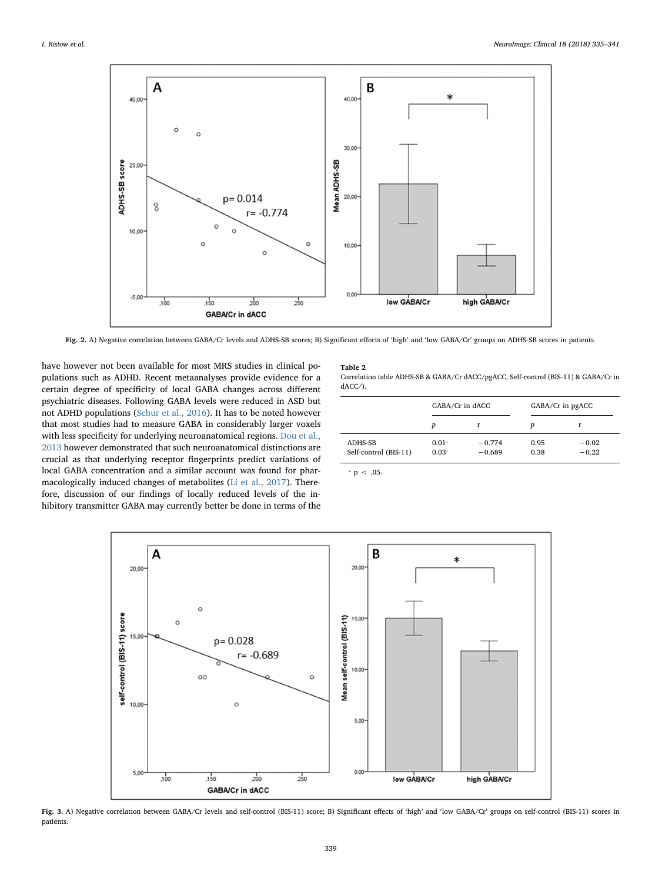<span id="page-4-0"></span>

Fig. 2. A) Negative correlation between GABA/Cr levels and ADHS-SB scores; B) Significant effects of 'high' and 'low GABA/Cr' groups on ADHS-SB scores in patients.

have however not been available for most MRS studies in clinical populations such as ADHD. Recent metaanalyses provide evidence for a certain degree of specificity of local GABA changes across different psychiatric diseases. Following GABA levels were reduced in ASD but not ADHD populations [\(Schur et al., 2016](#page-6-16)). It has to be noted however that most studies had to measure GABA in considerably larger voxels with less specificity for underlying neuroanatomical regions. [Dou et al.,](#page-6-39) [2013](#page-6-39) however demonstrated that such neuroanatomical distinctions are crucial as that underlying receptor fingerprints predict variations of local GABA concentration and a similar account was found for pharmacologically induced changes of metabolites [\(Li et al., 2017\)](#page-6-46). Therefore, discussion of our findings of locally reduced levels of the inhibitory transmitter GABA may currently better be done in terms of the

# <span id="page-4-2"></span>Table 2

Correlation table ADHS-SB & GABA/Cr dACC/pgACC, Self-control (BIS-11) & GABA/Cr in dACC/).

|                                  | GABA/Cr in dACC    |                      | GABA/Cr in pgACC |                    |
|----------------------------------|--------------------|----------------------|------------------|--------------------|
|                                  | р                  | r                    | D                | r                  |
| ADHS-SB<br>Self-control (BIS-11) | $0.01*$<br>$0.03*$ | $-0.774$<br>$-0.689$ | 0.95<br>0.38     | $-0.02$<br>$-0.22$ |

<span id="page-4-3"></span> $* p < .05$ .

<span id="page-4-1"></span>

Fig. 3. A) Negative correlation between GABA/Cr levels and self-control (BIS-11) score; B) Significant effects of 'high' and 'low GABA/Cr' groups on self-control (BIS-11) scores in patients.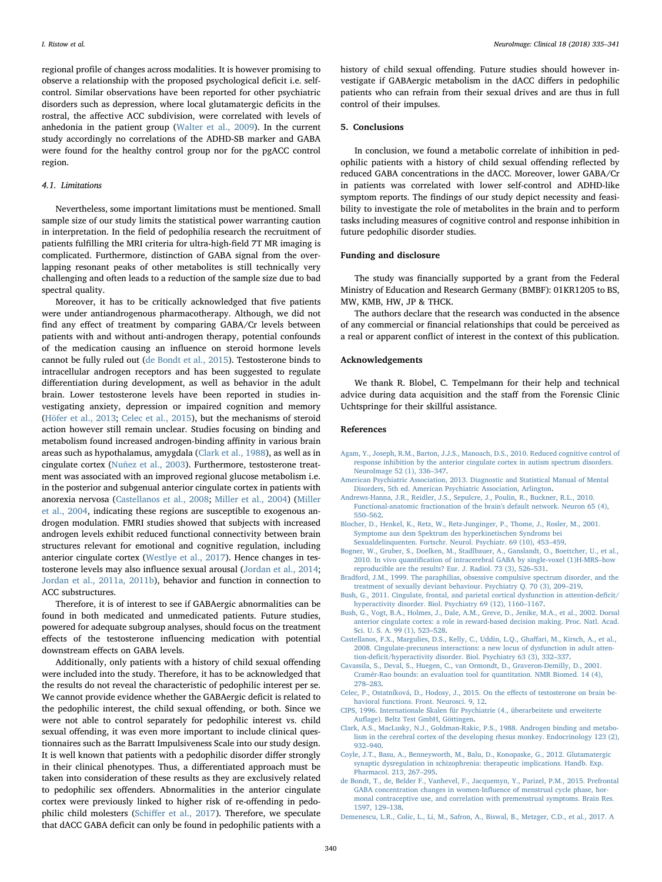regional profile of changes across modalities. It is however promising to observe a relationship with the proposed psychological deficit i.e. selfcontrol. Similar observations have been reported for other psychiatric disorders such as depression, where local glutamatergic deficits in the rostral, the affective ACC subdivision, were correlated with levels of anhedonia in the patient group ([Walter et al., 2009\)](#page-6-47). In the current study accordingly no correlations of the ADHD-SB marker and GABA were found for the healthy control group nor for the pgACC control region.

### 4.1. Limitations

Nevertheless, some important limitations must be mentioned. Small sample size of our study limits the statistical power warranting caution in interpretation. In the field of pedophilia research the recruitment of patients fulfilling the MRI criteria for ultra-high-field 7T MR imaging is complicated. Furthermore, distinction of GABA signal from the overlapping resonant peaks of other metabolites is still technically very challenging and often leads to a reduction of the sample size due to bad spectral quality.

Moreover, it has to be critically acknowledged that five patients were under antiandrogenous pharmacotherapy. Although, we did not find any effect of treatment by comparing GABA/Cr levels between patients with and without anti-androgen therapy, potential confounds of the medication causing an influence on steroid hormone levels cannot be fully ruled out [\(de Bondt et al., 2015\)](#page-5-13). Testosterone binds to intracellular androgen receptors and has been suggested to regulate differentiation during development, as well as behavior in the adult brain. Lower testosterone levels have been reported in studies investigating anxiety, depression or impaired cognition and memory ([Höfer et al., 2013](#page-6-48); [Celec et al., 2015](#page-5-14)), but the mechanisms of steroid action however still remain unclear. Studies focusing on binding and metabolism found increased androgen-binding affinity in various brain areas such as hypothalamus, amygdala ([Clark et al., 1988](#page-5-15)), as well as in cingulate cortex ([Nuñez et al., 2003\)](#page-6-49). Furthermore, testosterone treatment was associated with an improved regional glucose metabolism i.e. in the posterior and subgenual anterior cingulate cortex in patients with anorexia nervosa [\(Castellanos et al., 2008](#page-5-10); [Miller et al., 2004\)](#page-6-50) ([Miller](#page-6-50) [et al., 2004,](#page-6-50) indicating these regions are susceptible to exogenous androgen modulation. FMRI studies showed that subjects with increased androgen levels exhibit reduced functional connectivity between brain structures relevant for emotional and cognitive regulation, including anterior cingulate cortex [\(Westlye et al., 2017\)](#page-6-51). Hence changes in testosterone levels may also influence sexual arousal [\(Jordan et al., 2014](#page-6-52); [Jordan et al., 2011a, 2011b\)](#page-6-53), behavior and function in connection to ACC substructures.

Therefore, it is of interest to see if GABAergic abnormalities can be found in both medicated and unmedicated patients. Future studies, powered for adequate subgroup analyses, should focus on the treatment effects of the testosterone influencing medication with potential downstream effects on GABA levels.

Additionally, only patients with a history of child sexual offending were included into the study. Therefore, it has to be acknowledged that the results do not reveal the characteristic of pedophilic interest per se. We cannot provide evidence whether the GABAergic deficit is related to the pedophilic interest, the child sexual offending, or both. Since we were not able to control separately for pedophilic interest vs. child sexual offending, it was even more important to include clinical questionnaires such as the Barratt Impulsiveness Scale into our study design. It is well known that patients with a pedophilic disorder differ strongly in their clinical phenotypes. Thus, a differentiated approach must be taken into consideration of these results as they are exclusively related to pedophilic sex offenders. Abnormalities in the anterior cingulate cortex were previously linked to higher risk of re-offending in pedophilic child molesters (Schiff[er et al., 2017](#page-6-54)). Therefore, we speculate that dACC GABA deficit can only be found in pedophilic patients with a

history of child sexual offending. Future studies should however investigate if GABAergic metabolism in the dACC differs in pedophilic patients who can refrain from their sexual drives and are thus in full control of their impulses.

#### 5. Conclusions

In conclusion, we found a metabolic correlate of inhibition in pedophilic patients with a history of child sexual offending reflected by reduced GABA concentrations in the dACC. Moreover, lower GABA/Cr in patients was correlated with lower self-control and ADHD-like symptom reports. The findings of our study depict necessity and feasibility to investigate the role of metabolites in the brain and to perform tasks including measures of cognitive control and response inhibition in future pedophilic disorder studies.

# Funding and disclosure

The study was financially supported by a grant from the Federal Ministry of Education and Research Germany (BMBF): 01KR1205 to BS, MW, KMB, HW, JP & THCK.

The authors declare that the research was conducted in the absence of any commercial or financial relationships that could be perceived as a real or apparent conflict of interest in the context of this publication.

#### Acknowledgements

We thank R. Blobel, C. Tempelmann for their help and technical advice during data acquisition and the staff from the Forensic Clinic Uchtspringe for their skillful assistance.

#### References

- <span id="page-5-7"></span>[Agam, Y., Joseph, R.M., Barton, J.J.S., Manoach, D.S., 2010. Reduced cognitive control of](http://refhub.elsevier.com/S2213-1582(18)30018-4/rf0005) [response inhibition by the anterior cingulate cortex in autism spectrum disorders.](http://refhub.elsevier.com/S2213-1582(18)30018-4/rf0005) [NeuroImage 52 \(1\), 336](http://refhub.elsevier.com/S2213-1582(18)30018-4/rf0005)–347.
- <span id="page-5-0"></span>[American Psychiatric Association, 2013. Diagnostic and Statistical Manual of Mental](http://refhub.elsevier.com/S2213-1582(18)30018-4/rf9000) [Disorders, 5th ed. American Psychiatric Association, Arlington.](http://refhub.elsevier.com/S2213-1582(18)30018-4/rf9000)
- <span id="page-5-4"></span>[Andrews-Hanna, J.R., Reidler, J.S., Sepulcre, J., Poulin, R., Buckner, R.L., 2010.](http://refhub.elsevier.com/S2213-1582(18)30018-4/rf0010) [Functional-anatomic fractionation of the brain's default network. Neuron 65 \(4\),](http://refhub.elsevier.com/S2213-1582(18)30018-4/rf0010) 550–[562](http://refhub.elsevier.com/S2213-1582(18)30018-4/rf0010).
- <span id="page-5-2"></span>[Blocher, D., Henkel, K., Retz, W., Retz-Junginger, P., Thome, J., Rosler, M., 2001.](http://refhub.elsevier.com/S2213-1582(18)30018-4/rf0015) [Symptome aus dem Spektrum des hyperkinetischen Syndroms bei](http://refhub.elsevier.com/S2213-1582(18)30018-4/rf0015) [Sexualdelinquenten. Fortschr. Neurol. Psychiatr. 69 \(10\), 453](http://refhub.elsevier.com/S2213-1582(18)30018-4/rf0015)–459.
- <span id="page-5-6"></span>[Bogner, W., Gruber, S., Doelken, M., Stadlbauer, A., Ganslandt, O., Boettcher, U., et al.,](http://refhub.elsevier.com/S2213-1582(18)30018-4/rf0020) 2010. In vivo quantifi[cation of intracerebral GABA by single-voxel \(1\)H-MRS](http://refhub.elsevier.com/S2213-1582(18)30018-4/rf0020)–how [reproducible are the results? Eur. J. Radiol. 73 \(3\), 526](http://refhub.elsevier.com/S2213-1582(18)30018-4/rf0020)–531.
- <span id="page-5-1"></span>[Bradford, J.M., 1999. The paraphilias, obsessive compulsive spectrum disorder, and the](http://refhub.elsevier.com/S2213-1582(18)30018-4/rf0025) [treatment of sexually deviant behaviour. Psychiatry Q. 70 \(3\), 209](http://refhub.elsevier.com/S2213-1582(18)30018-4/rf0025)–219.
- <span id="page-5-9"></span>[Bush, G., 2011. Cingulate, frontal, and parietal cortical dysfunction in attention-de](http://refhub.elsevier.com/S2213-1582(18)30018-4/rf0030)ficit/ [hyperactivity disorder. Biol. Psychiatry 69 \(12\), 1160](http://refhub.elsevier.com/S2213-1582(18)30018-4/rf0030)–1167.
- <span id="page-5-8"></span>[Bush, G., Vogt, B.A., Holmes, J., Dale, A.M., Greve, D., Jenike, M.A., et al., 2002. Dorsal](http://refhub.elsevier.com/S2213-1582(18)30018-4/rf0035) [anterior cingulate cortex: a role in reward-based decision making. Proc. Natl. Acad.](http://refhub.elsevier.com/S2213-1582(18)30018-4/rf0035) [Sci. U. S. A. 99 \(1\), 523](http://refhub.elsevier.com/S2213-1582(18)30018-4/rf0035)–528.
- <span id="page-5-10"></span>[Castellanos, F.X., Margulies, D.S., Kelly, C., Uddin, L.Q., Gha](http://refhub.elsevier.com/S2213-1582(18)30018-4/rf0040)ffari, M., Kirsch, A., et al., [2008. Cingulate-precuneus interactions: a new locus of dysfunction in adult atten](http://refhub.elsevier.com/S2213-1582(18)30018-4/rf0040)tion-defi[cit/hyperactivity disorder. Biol. Psychiatry 63 \(3\), 332](http://refhub.elsevier.com/S2213-1582(18)30018-4/rf0040)–337.
- <span id="page-5-5"></span>[Cavassila, S., Deval, S., Huegen, C., van Ormondt, D., Graveron-Demilly, D., 2001.](http://refhub.elsevier.com/S2213-1582(18)30018-4/rf0045) [Cramér-Rao bounds: an evaluation tool for quantitation. NMR Biomed. 14 \(4\),](http://refhub.elsevier.com/S2213-1582(18)30018-4/rf0045) 278–[283](http://refhub.elsevier.com/S2213-1582(18)30018-4/rf0045).
- <span id="page-5-14"></span>[Celec, P., Ostatníková, D., Hodosy, J., 2015. On the e](http://refhub.elsevier.com/S2213-1582(18)30018-4/rf0050)ffects of testosterone on brain be[havioral functions. Front. Neurosci. 9, 12](http://refhub.elsevier.com/S2213-1582(18)30018-4/rf0050).
- <span id="page-5-3"></span>[CIPS, 1996. Internationale Skalen für Psychiatrie \(4., überarbeitete und erweiterte](http://refhub.elsevier.com/S2213-1582(18)30018-4/rf0055) Aufl[age\). Beltz Test GmbH, Göttingen](http://refhub.elsevier.com/S2213-1582(18)30018-4/rf0055).
- <span id="page-5-15"></span>[Clark, A.S., MacLusky, N.J., Goldman-Rakic, P.S., 1988. Androgen binding and metabo](http://refhub.elsevier.com/S2213-1582(18)30018-4/rf0060)[lism in the cerebral cortex of the developing rhesus monkey. Endocrinology 123 \(2\),](http://refhub.elsevier.com/S2213-1582(18)30018-4/rf0060) 932–[940](http://refhub.elsevier.com/S2213-1582(18)30018-4/rf0060).
- <span id="page-5-11"></span>[Coyle, J.T., Basu, A., Benneyworth, M., Balu, D., Konopaske, G., 2012. Glutamatergic](http://refhub.elsevier.com/S2213-1582(18)30018-4/rf0065) [synaptic dysregulation in schizophrenia: therapeutic implications. Handb. Exp.](http://refhub.elsevier.com/S2213-1582(18)30018-4/rf0065) [Pharmacol. 213, 267](http://refhub.elsevier.com/S2213-1582(18)30018-4/rf0065)–295.
- <span id="page-5-13"></span>[de Bondt, T., de, Belder F., Vanhevel, F., Jacquemyn, Y., Parizel, P.M., 2015. Prefrontal](http://refhub.elsevier.com/S2213-1582(18)30018-4/rf0070) [GABA concentration changes in women-In](http://refhub.elsevier.com/S2213-1582(18)30018-4/rf0070)fluence of menstrual cycle phase, hor[monal contraceptive use, and correlation with premenstrual symptoms. Brain Res.](http://refhub.elsevier.com/S2213-1582(18)30018-4/rf0070) [1597, 129](http://refhub.elsevier.com/S2213-1582(18)30018-4/rf0070)–138.
- <span id="page-5-12"></span>[Demenescu, L.R., Colic, L., Li, M., Safron, A., Biswal, B., Metzger, C.D., et al., 2017. A](http://refhub.elsevier.com/S2213-1582(18)30018-4/rf0075)